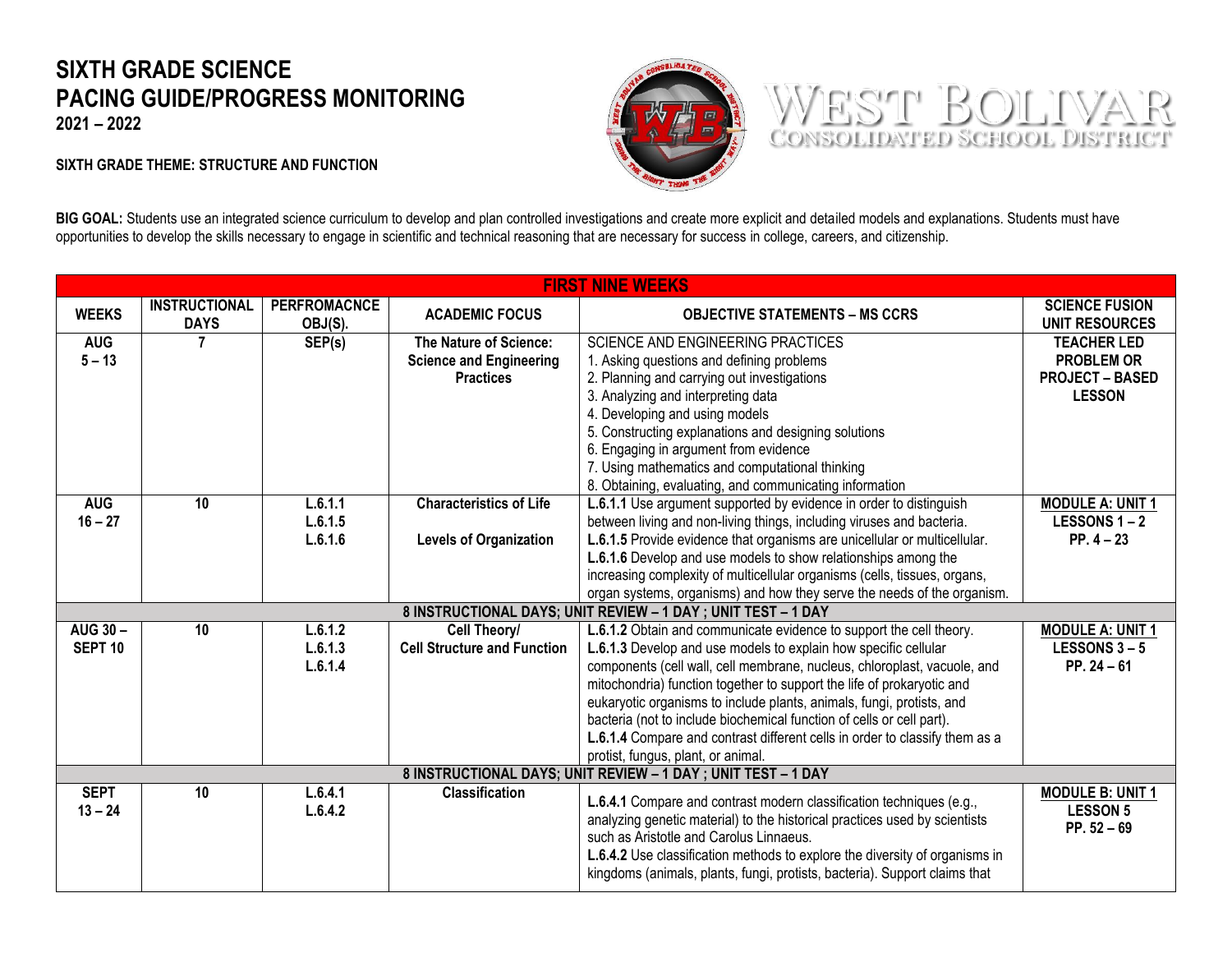## **SIXTH GRADE SCIENCE PACING GUIDE/PROGRESS MONITORING**

**2021 – 2022** 

## **SIXTH GRADE THEME: STRUCTURE AND FUNCTION**





BIG GOAL: Students use an integrated science curriculum to develop and plan controlled investigations and create more explicit and detailed models and explanations. Students must have opportunities to develop the skills necessary to engage in scientific and technical reasoning that are necessary for success in college, careers, and citizenship.

|                          | <b>FIRST NINE WEEKS</b>                                       |                                |                                    |                                                                                                                                                                                                                                                                                                                                                            |                                                             |  |
|--------------------------|---------------------------------------------------------------|--------------------------------|------------------------------------|------------------------------------------------------------------------------------------------------------------------------------------------------------------------------------------------------------------------------------------------------------------------------------------------------------------------------------------------------------|-------------------------------------------------------------|--|
| <b>WEEKS</b>             | <b>INSTRUCTIONAL</b><br><b>DAYS</b>                           | <b>PERFROMACNCE</b><br>OBJ(S). | <b>ACADEMIC FOCUS</b>              | <b>OBJECTIVE STATEMENTS – MS CCRS</b>                                                                                                                                                                                                                                                                                                                      | <b>SCIENCE FUSION</b><br><b>UNIT RESOURCES</b>              |  |
| <b>AUG</b>               | $\overline{7}$                                                | SEP(s)                         | The Nature of Science:             | SCIENCE AND ENGINEERING PRACTICES                                                                                                                                                                                                                                                                                                                          | <b>TEACHER LED</b>                                          |  |
| $5 - 13$                 |                                                               |                                | <b>Science and Engineering</b>     | 1. Asking questions and defining problems                                                                                                                                                                                                                                                                                                                  | <b>PROBLEM OR</b>                                           |  |
|                          |                                                               |                                | <b>Practices</b>                   | 2. Planning and carrying out investigations                                                                                                                                                                                                                                                                                                                | <b>PROJECT - BASED</b>                                      |  |
|                          |                                                               |                                |                                    | 3. Analyzing and interpreting data                                                                                                                                                                                                                                                                                                                         | <b>LESSON</b>                                               |  |
|                          |                                                               |                                |                                    | 4. Developing and using models                                                                                                                                                                                                                                                                                                                             |                                                             |  |
|                          |                                                               |                                |                                    | 5. Constructing explanations and designing solutions                                                                                                                                                                                                                                                                                                       |                                                             |  |
|                          |                                                               |                                |                                    | 6. Engaging in argument from evidence                                                                                                                                                                                                                                                                                                                      |                                                             |  |
|                          |                                                               |                                |                                    | 7. Using mathematics and computational thinking                                                                                                                                                                                                                                                                                                            |                                                             |  |
|                          |                                                               |                                |                                    | 8. Obtaining, evaluating, and communicating information                                                                                                                                                                                                                                                                                                    |                                                             |  |
| <b>AUG</b>               | 10                                                            | L.6.1.1                        | <b>Characteristics of Life</b>     | L.6.1.1 Use argument supported by evidence in order to distinguish                                                                                                                                                                                                                                                                                         | <b>MODULE A: UNIT 1</b>                                     |  |
| $16 - 27$                |                                                               | L.6.1.5                        |                                    | between living and non-living things, including viruses and bacteria.                                                                                                                                                                                                                                                                                      | <b>LESSONS 1-2</b>                                          |  |
|                          |                                                               | L.6.1.6                        | <b>Levels of Organization</b>      | L.6.1.5 Provide evidence that organisms are unicellular or multicellular.                                                                                                                                                                                                                                                                                  | $PP.4-23$                                                   |  |
|                          |                                                               |                                |                                    | L.6.1.6 Develop and use models to show relationships among the<br>increasing complexity of multicellular organisms (cells, tissues, organs,                                                                                                                                                                                                                |                                                             |  |
|                          |                                                               |                                |                                    | organ systems, organisms) and how they serve the needs of the organism.                                                                                                                                                                                                                                                                                    |                                                             |  |
|                          |                                                               |                                |                                    | 8 INSTRUCTIONAL DAYS; UNIT REVIEW - 1 DAY ; UNIT TEST - 1 DAY                                                                                                                                                                                                                                                                                              |                                                             |  |
| <b>AUG 30-</b>           | 10 <sup>°</sup>                                               | L.6.1.2                        | Cell Theory/                       | L.6.1.2 Obtain and communicate evidence to support the cell theory.                                                                                                                                                                                                                                                                                        | <b>MODULE A: UNIT 1</b>                                     |  |
| <b>SEPT 10</b>           |                                                               | L.6.1.3                        | <b>Cell Structure and Function</b> | L.6.1.3 Develop and use models to explain how specific cellular                                                                                                                                                                                                                                                                                            | <b>LESSONS 3-5</b>                                          |  |
|                          |                                                               | L.6.1.4                        |                                    | components (cell wall, cell membrane, nucleus, chloroplast, vacuole, and                                                                                                                                                                                                                                                                                   | $PP. 24 - 61$                                               |  |
|                          |                                                               |                                |                                    | mitochondria) function together to support the life of prokaryotic and                                                                                                                                                                                                                                                                                     |                                                             |  |
|                          |                                                               |                                |                                    | eukaryotic organisms to include plants, animals, fungi, protists, and                                                                                                                                                                                                                                                                                      |                                                             |  |
|                          |                                                               |                                |                                    | bacteria (not to include biochemical function of cells or cell part).                                                                                                                                                                                                                                                                                      |                                                             |  |
|                          |                                                               |                                |                                    | L.6.1.4 Compare and contrast different cells in order to classify them as a                                                                                                                                                                                                                                                                                |                                                             |  |
|                          |                                                               |                                |                                    | protist, fungus, plant, or animal.                                                                                                                                                                                                                                                                                                                         |                                                             |  |
|                          | 8 INSTRUCTIONAL DAYS; UNIT REVIEW - 1 DAY ; UNIT TEST - 1 DAY |                                |                                    |                                                                                                                                                                                                                                                                                                                                                            |                                                             |  |
| <b>SEPT</b><br>$13 - 24$ | 10                                                            | L.6.4.1<br>L.6.4.2             | <b>Classification</b>              | L.6.4.1 Compare and contrast modern classification techniques (e.g.,<br>analyzing genetic material) to the historical practices used by scientists<br>such as Aristotle and Carolus Linnaeus.<br>L.6.4.2 Use classification methods to explore the diversity of organisms in<br>kingdoms (animals, plants, fungi, protists, bacteria). Support claims that | <b>MODULE B: UNIT 1</b><br><b>LESSON 5</b><br>PP. $52 - 69$ |  |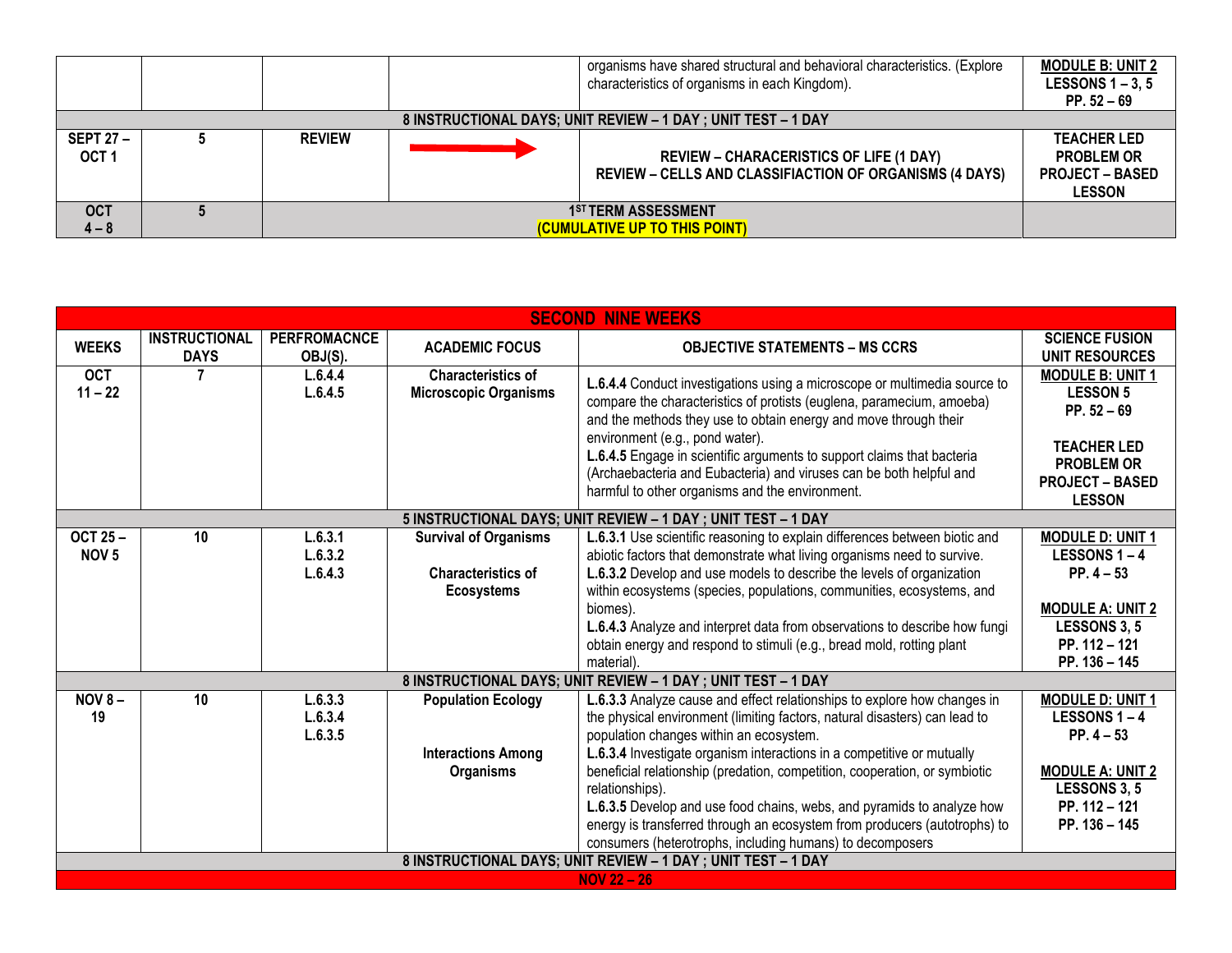|                                      |                                                              |                                                                  |  | organisms have shared structural and behavioral characteristics. (Explore<br>characteristics of organisms in each Kingdom). | <b>MODULE B: UNIT 2</b><br>LESSONS $1 - 3$ , 5<br>$PP. 52 - 69$                    |  |
|--------------------------------------|--------------------------------------------------------------|------------------------------------------------------------------|--|-----------------------------------------------------------------------------------------------------------------------------|------------------------------------------------------------------------------------|--|
|                                      | 8 INSTRUCTIONAL DAYS; UNIT REVIEW - 1 DAY; UNIT TEST - 1 DAY |                                                                  |  |                                                                                                                             |                                                                                    |  |
| <b>SEPT 27 -</b><br>OCT <sub>1</sub> |                                                              | <b>REVIEW</b>                                                    |  | <b>REVIEW - CHARACERISTICS OF LIFE (1 DAY)</b><br><b>REVIEW - CELLS AND CLASSIFIACTION OF ORGANISMS (4 DAYS)</b>            | <b>TEACHER LED</b><br><b>PROBLEM OR</b><br><b>PROJECT – BASED</b><br><b>LESSON</b> |  |
| <b>OCT</b><br>$4 - 8$                |                                                              | 1 <sup>ST</sup> TERM ASSESSMENT<br>(CUMULATIVE UP TO THIS POINT) |  |                                                                                                                             |                                                                                    |  |

| <b>SECOND NINE WEEKS</b>           |                                     |                                |                                                                                |                                                                                                                                                                                                                                                                                                                                                                                                                                                                            |                                                                                                                                                   |  |
|------------------------------------|-------------------------------------|--------------------------------|--------------------------------------------------------------------------------|----------------------------------------------------------------------------------------------------------------------------------------------------------------------------------------------------------------------------------------------------------------------------------------------------------------------------------------------------------------------------------------------------------------------------------------------------------------------------|---------------------------------------------------------------------------------------------------------------------------------------------------|--|
| <b>WEEKS</b>                       | <b>INSTRUCTIONAL</b><br><b>DAYS</b> | <b>PERFROMACNCE</b><br>OBJ(S). | <b>ACADEMIC FOCUS</b>                                                          | <b>OBJECTIVE STATEMENTS - MS CCRS</b>                                                                                                                                                                                                                                                                                                                                                                                                                                      | <b>SCIENCE FUSION</b><br><b>UNIT RESOURCES</b>                                                                                                    |  |
| <b>OCT</b><br>$11 - 22$            | 7                                   | L.6.4.4<br>L.6.4.5             | <b>Characteristics of</b><br><b>Microscopic Organisms</b>                      | L.6.4.4 Conduct investigations using a microscope or multimedia source to<br>compare the characteristics of protists (euglena, paramecium, amoeba)<br>and the methods they use to obtain energy and move through their<br>environment (e.g., pond water).<br>L.6.4.5 Engage in scientific arguments to support claims that bacteria<br>(Archaebacteria and Eubacteria) and viruses can be both helpful and<br>harmful to other organisms and the environment.              | <b>MODULE B: UNIT 1</b><br><b>LESSON 5</b><br>PP. $52 - 69$<br><b>TEACHER LED</b><br><b>PROBLEM OR</b><br><b>PROJECT - BASED</b><br><b>LESSON</b> |  |
|                                    |                                     |                                |                                                                                | 5 INSTRUCTIONAL DAYS; UNIT REVIEW - 1 DAY; UNIT TEST - 1 DAY                                                                                                                                                                                                                                                                                                                                                                                                               |                                                                                                                                                   |  |
| <b>OCT 25-</b><br>NOV <sub>5</sub> | 10                                  | L.6.3.1<br>L.6.3.2<br>L.6.4.3  | <b>Survival of Organisms</b><br><b>Characteristics of</b><br><b>Ecosystems</b> | L.6.3.1 Use scientific reasoning to explain differences between biotic and<br>abiotic factors that demonstrate what living organisms need to survive.<br>L.6.3.2 Develop and use models to describe the levels of organization<br>within ecosystems (species, populations, communities, ecosystems, and<br>biomes).<br>L.6.4.3 Analyze and interpret data from observations to describe how fungi<br>obtain energy and respond to stimuli (e.g., bread mold, rotting plant | <b>MODULE D: UNIT 1</b><br><b>LESSONS 1-4</b><br>$PP.4 - 53$<br><b>MODULE A: UNIT 2</b><br><b>LESSONS 3, 5</b><br>PP. 112 - 121                   |  |
|                                    |                                     |                                |                                                                                | material).                                                                                                                                                                                                                                                                                                                                                                                                                                                                 | PP. 136 - 145                                                                                                                                     |  |
|                                    |                                     |                                |                                                                                | 8 INSTRUCTIONAL DAYS; UNIT REVIEW - 1 DAY ; UNIT TEST - 1 DAY                                                                                                                                                                                                                                                                                                                                                                                                              |                                                                                                                                                   |  |
| <b>NOV 8-</b><br>19                | 10                                  | L.6.3.3<br>L.6.3.4<br>L.6.3.5  | <b>Population Ecology</b><br><b>Interactions Among</b>                         | L.6.3.3 Analyze cause and effect relationships to explore how changes in<br>the physical environment (limiting factors, natural disasters) can lead to<br>population changes within an ecosystem.<br>L.6.3.4 Investigate organism interactions in a competitive or mutually                                                                                                                                                                                                | <b>MODULE D: UNIT 1</b><br><b>LESSONS 1-4</b><br>$PP.4 - 53$                                                                                      |  |
|                                    |                                     |                                | <b>Organisms</b>                                                               | beneficial relationship (predation, competition, cooperation, or symbiotic<br>relationships).<br>L.6.3.5 Develop and use food chains, webs, and pyramids to analyze how<br>energy is transferred through an ecosystem from producers (autotrophs) to<br>consumers (heterotrophs, including humans) to decomposers<br>8 INSTRUCTIONAL DAYS; UNIT REVIEW - 1 DAY ; UNIT TEST - 1 DAY                                                                                         | <b>MODULE A: UNIT 2</b><br><b>LESSONS 3, 5</b><br>PP. 112 - 121<br>PP. 136 - 145                                                                  |  |
|                                    | $NOV 22 - 26$                       |                                |                                                                                |                                                                                                                                                                                                                                                                                                                                                                                                                                                                            |                                                                                                                                                   |  |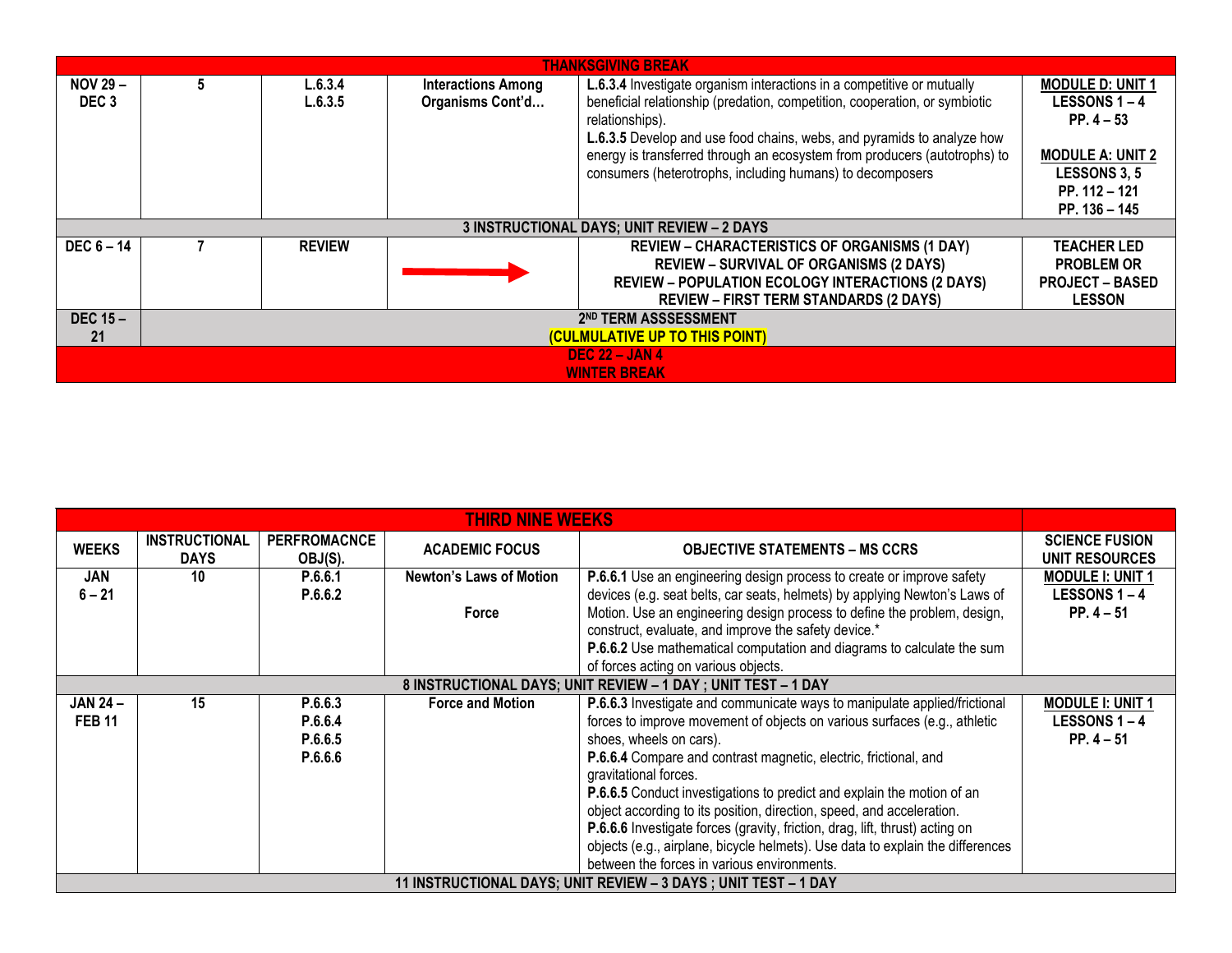| <b>THANKSGIVING BREAK</b>           |                                  |                    |                                               |                                                                                                                                                                                                                                                                                                                                                                                             |                                                                                                                                         |  |  |  |
|-------------------------------------|----------------------------------|--------------------|-----------------------------------------------|---------------------------------------------------------------------------------------------------------------------------------------------------------------------------------------------------------------------------------------------------------------------------------------------------------------------------------------------------------------------------------------------|-----------------------------------------------------------------------------------------------------------------------------------------|--|--|--|
| <b>NOV 29 -</b><br>DEC <sub>3</sub> | 5                                | L.6.3.4<br>L.6.3.5 | <b>Interactions Among</b><br>Organisms Cont'd | L.6.3.4 Investigate organism interactions in a competitive or mutually<br>beneficial relationship (predation, competition, cooperation, or symbiotic<br>relationships).<br>L.6.3.5 Develop and use food chains, webs, and pyramids to analyze how<br>energy is transferred through an ecosystem from producers (autotrophs) to<br>consumers (heterotrophs, including humans) to decomposers | <b>MODULE D: UNIT 1</b><br>LESSONS 1-4<br>$PP.4-53$<br><b>MODULE A: UNIT 2</b><br><b>LESSONS 3, 5</b><br>PP. 112 - 121<br>PP. 136 - 145 |  |  |  |
|                                     |                                  |                    |                                               | 3 INSTRUCTIONAL DAYS; UNIT REVIEW - 2 DAYS                                                                                                                                                                                                                                                                                                                                                  |                                                                                                                                         |  |  |  |
| $DEC 6 - 14$                        |                                  | <b>REVIEW</b>      |                                               | <b>REVIEW - CHARACTERISTICS OF ORGANISMS (1 DAY)</b><br><b>REVIEW - SURVIVAL OF ORGANISMS (2 DAYS)</b><br><b>REVIEW - POPULATION ECOLOGY INTERACTIONS (2 DAYS)</b><br><b>REVIEW - FIRST TERM STANDARDS (2 DAYS)</b>                                                                                                                                                                         | <b>TEACHER LED</b><br><b>PROBLEM OR</b><br><b>PROJECT - BASED</b><br><b>LESSON</b>                                                      |  |  |  |
| DEC $15 -$                          | 2 <sup>ND</sup> TERM ASSSESSMENT |                    |                                               |                                                                                                                                                                                                                                                                                                                                                                                             |                                                                                                                                         |  |  |  |
| 21                                  | (CULMULATIVE UP TO THIS POINT)   |                    |                                               |                                                                                                                                                                                                                                                                                                                                                                                             |                                                                                                                                         |  |  |  |
| <b>DEC 22 - JAN 4</b>               |                                  |                    |                                               |                                                                                                                                                                                                                                                                                                                                                                                             |                                                                                                                                         |  |  |  |
|                                     | <b>WINTER BREAK</b>              |                    |                                               |                                                                                                                                                                                                                                                                                                                                                                                             |                                                                                                                                         |  |  |  |

| <b>THIRD NINE WEEKS</b>                                       |                                                                |                                |                         |                                                                                |                                         |  |
|---------------------------------------------------------------|----------------------------------------------------------------|--------------------------------|-------------------------|--------------------------------------------------------------------------------|-----------------------------------------|--|
| <b>WEEKS</b>                                                  | <b>INSTRUCTIONAL</b><br><b>DAYS</b>                            | <b>PERFROMACNCE</b><br>OBJ(S). | <b>ACADEMIC FOCUS</b>   | <b>OBJECTIVE STATEMENTS – MS CCRS</b>                                          | <b>SCIENCE FUSION</b><br>UNIT RESOURCES |  |
| <b>JAN</b>                                                    | 10                                                             | P.6.6.1                        | Newton's Laws of Motion | P.6.6.1 Use an engineering design process to create or improve safety          | <b>MODULE I: UNIT 1</b>                 |  |
| $6 - 21$                                                      |                                                                | P.6.6.2                        |                         | devices (e.g. seat belts, car seats, helmets) by applying Newton's Laws of     | LESSONS 1-4                             |  |
|                                                               |                                                                |                                | Force                   | Motion. Use an engineering design process to define the problem, design,       | $PP.4 - 51$                             |  |
|                                                               |                                                                |                                |                         | construct, evaluate, and improve the safety device.*                           |                                         |  |
|                                                               |                                                                |                                |                         | P.6.6.2 Use mathematical computation and diagrams to calculate the sum         |                                         |  |
|                                                               |                                                                |                                |                         | of forces acting on various objects.                                           |                                         |  |
| 8 INSTRUCTIONAL DAYS; UNIT REVIEW - 1 DAY ; UNIT TEST - 1 DAY |                                                                |                                |                         |                                                                                |                                         |  |
| <b>JAN 24-</b>                                                | 15                                                             | P.6.6.3                        | <b>Force and Motion</b> | P.6.6.3 Investigate and communicate ways to manipulate applied/frictional      | <b>MODULE I: UNIT 1</b>                 |  |
| <b>FEB 11</b>                                                 |                                                                | P.6.6.4                        |                         | forces to improve movement of objects on various surfaces (e.g., athletic      | LESSONS 1-4                             |  |
|                                                               |                                                                | P.6.6.5                        |                         | shoes, wheels on cars).                                                        | $PP.4 - 51$                             |  |
|                                                               |                                                                | P.6.6.6                        |                         | P.6.6.4 Compare and contrast magnetic, electric, frictional, and               |                                         |  |
|                                                               |                                                                |                                |                         | gravitational forces.                                                          |                                         |  |
|                                                               |                                                                |                                |                         | <b>P.6.6.5</b> Conduct investigations to predict and explain the motion of an  |                                         |  |
|                                                               |                                                                |                                |                         | object according to its position, direction, speed, and acceleration.          |                                         |  |
|                                                               |                                                                |                                |                         | P.6.6.6 Investigate forces (gravity, friction, drag, lift, thrust) acting on   |                                         |  |
|                                                               |                                                                |                                |                         | objects (e.g., airplane, bicycle helmets). Use data to explain the differences |                                         |  |
|                                                               |                                                                |                                |                         | between the forces in various environments.                                    |                                         |  |
|                                                               | 11 INSTRUCTIONAL DAYS; UNIT REVIEW - 3 DAYS; UNIT TEST - 1 DAY |                                |                         |                                                                                |                                         |  |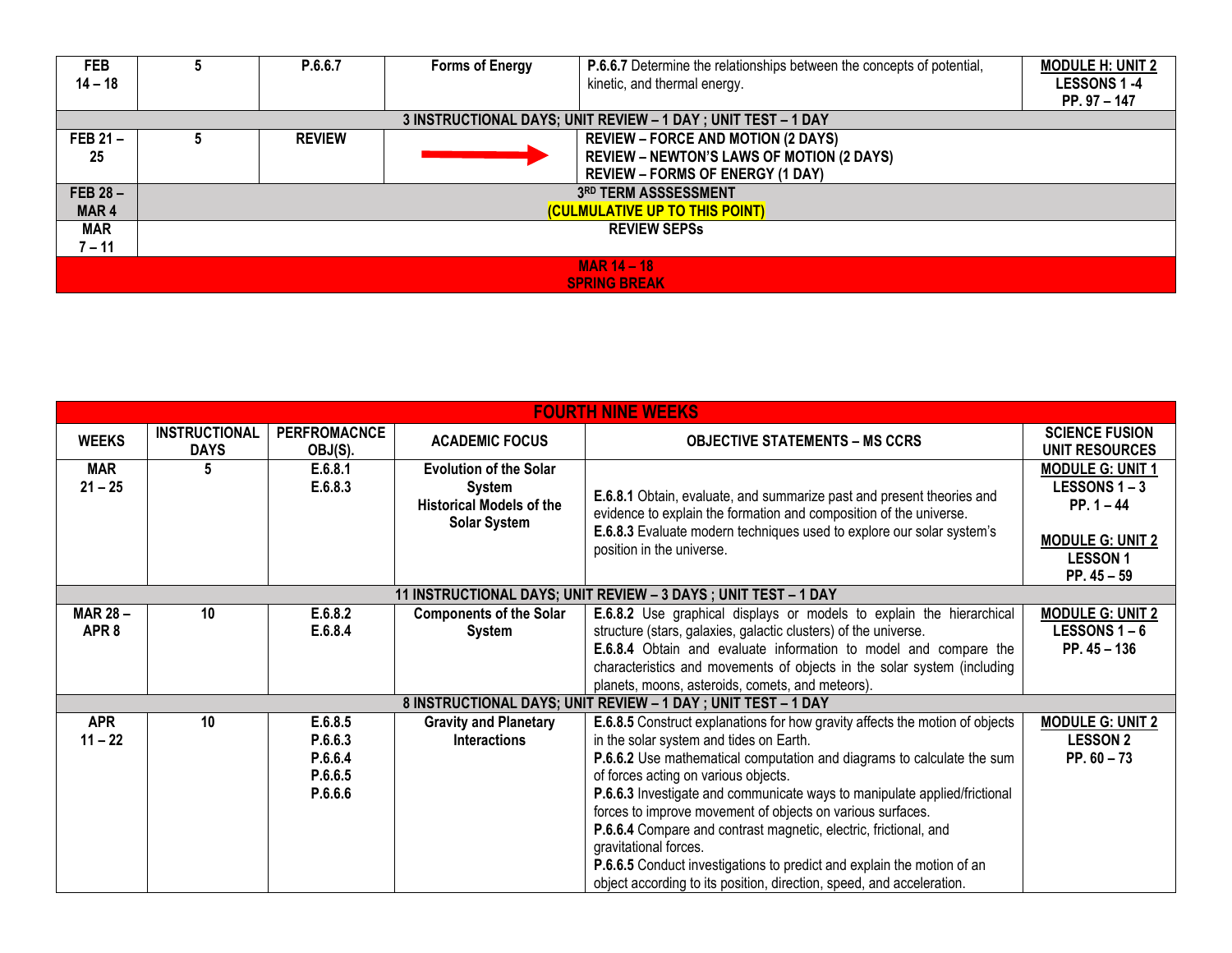| <b>FEB</b><br>$14 - 18$                   |                                | P.6.6.7       | <b>Forms of Energy</b> | <b>P.6.6.7</b> Determine the relationships between the concepts of potential,<br>kinetic, and thermal energy.                            | <b>MODULE H: UNIT 2</b><br><b>LESSONS 1-4</b><br>$PP.97 - 147$ |  |  |
|-------------------------------------------|--------------------------------|---------------|------------------------|------------------------------------------------------------------------------------------------------------------------------------------|----------------------------------------------------------------|--|--|
|                                           |                                |               |                        | 3 INSTRUCTIONAL DAYS; UNIT REVIEW - 1 DAY; UNIT TEST - 1 DAY                                                                             |                                                                |  |  |
| FEB $21 -$<br>25                          |                                | <b>REVIEW</b> |                        | <b>REVIEW – FORCE AND MOTION (2 DAYS)</b><br><b>REVIEW - NEWTON'S LAWS OF MOTION (2 DAYS)</b><br><b>REVIEW - FORMS OF ENERGY (1 DAY)</b> |                                                                |  |  |
| FEB $28 -$<br>3RD TERM ASSSESSMENT        |                                |               |                        |                                                                                                                                          |                                                                |  |  |
| MAR <sub>4</sub>                          | (CULMULATIVE UP TO THIS POINT) |               |                        |                                                                                                                                          |                                                                |  |  |
| <b>MAR</b>                                | <b>REVIEW SEPSS</b>            |               |                        |                                                                                                                                          |                                                                |  |  |
| 7 – 11                                    |                                |               |                        |                                                                                                                                          |                                                                |  |  |
| <b>MAR 14 - 18</b><br><b>SPRING BREAK</b> |                                |               |                        |                                                                                                                                          |                                                                |  |  |

| <b>FOURTH NINE WEEKS</b>           |                                     |                                                     |                                                                                                          |                                                                                                                                                                                                                                                                                                                                                                                                                                                                                                                                                                                                                                             |                                                                                                                             |  |
|------------------------------------|-------------------------------------|-----------------------------------------------------|----------------------------------------------------------------------------------------------------------|---------------------------------------------------------------------------------------------------------------------------------------------------------------------------------------------------------------------------------------------------------------------------------------------------------------------------------------------------------------------------------------------------------------------------------------------------------------------------------------------------------------------------------------------------------------------------------------------------------------------------------------------|-----------------------------------------------------------------------------------------------------------------------------|--|
| <b>WEEKS</b>                       | <b>INSTRUCTIONAL</b><br><b>DAYS</b> | <b>PERFROMACNCE</b><br>OBJ(S).                      | <b>ACADEMIC FOCUS</b>                                                                                    | <b>OBJECTIVE STATEMENTS – MS CCRS</b>                                                                                                                                                                                                                                                                                                                                                                                                                                                                                                                                                                                                       | <b>SCIENCE FUSION</b><br><b>UNIT RESOURCES</b>                                                                              |  |
| <b>MAR</b><br>$21 - 25$            | 5                                   | E.6.8.1<br>E.6.8.3                                  | <b>Evolution of the Solar</b><br><b>System</b><br><b>Historical Models of the</b><br><b>Solar System</b> | E.6.8.1 Obtain, evaluate, and summarize past and present theories and<br>evidence to explain the formation and composition of the universe.<br>E.6.8.3 Evaluate modern techniques used to explore our solar system's<br>position in the universe.                                                                                                                                                                                                                                                                                                                                                                                           | <b>MODULE G: UNIT 1</b><br><b>LESSONS 1-3</b><br>$PP. 1 - 44$<br><b>MODULE G: UNIT 2</b><br><b>LESSON1</b><br>PP. $45 - 59$ |  |
|                                    |                                     |                                                     |                                                                                                          | 11 INSTRUCTIONAL DAYS; UNIT REVIEW - 3 DAYS ; UNIT TEST - 1 DAY                                                                                                                                                                                                                                                                                                                                                                                                                                                                                                                                                                             |                                                                                                                             |  |
| <b>MAR 28-</b><br>APR <sub>8</sub> | 10 <sup>°</sup>                     | E.6.8.2<br>E.6.8.4                                  | <b>Components of the Solar</b><br><b>System</b>                                                          | E.6.8.2 Use graphical displays or models to explain the hierarchical<br>structure (stars, galaxies, galactic clusters) of the universe.<br>E.6.8.4 Obtain and evaluate information to model and compare the<br>characteristics and movements of objects in the solar system (including<br>planets, moons, asteroids, comets, and meteors).                                                                                                                                                                                                                                                                                                  | <b>MODULE G: UNIT 2</b><br><b>LESSONS 1-6</b><br>PP. $45 - 136$                                                             |  |
|                                    |                                     |                                                     |                                                                                                          | 8 INSTRUCTIONAL DAYS; UNIT REVIEW - 1 DAY; UNIT TEST - 1 DAY                                                                                                                                                                                                                                                                                                                                                                                                                                                                                                                                                                                |                                                                                                                             |  |
| <b>APR</b><br>$11 - 22$            | 10 <sup>°</sup>                     | E.6.8.5<br>P.6.6.3<br>P.6.6.4<br>P.6.6.5<br>P.6.6.6 | <b>Gravity and Planetary</b><br><b>Interactions</b>                                                      | E.6.8.5 Construct explanations for how gravity affects the motion of objects<br>in the solar system and tides on Earth.<br>P.6.6.2 Use mathematical computation and diagrams to calculate the sum<br>of forces acting on various objects.<br>P.6.6.3 Investigate and communicate ways to manipulate applied/frictional<br>forces to improve movement of objects on various surfaces.<br>P.6.6.4 Compare and contrast magnetic, electric, frictional, and<br>gravitational forces.<br><b>P.6.6.5</b> Conduct investigations to predict and explain the motion of an<br>object according to its position, direction, speed, and acceleration. | <b>MODULE G: UNIT 2</b><br><b>LESSON 2</b><br>$PP.60 - 73$                                                                  |  |